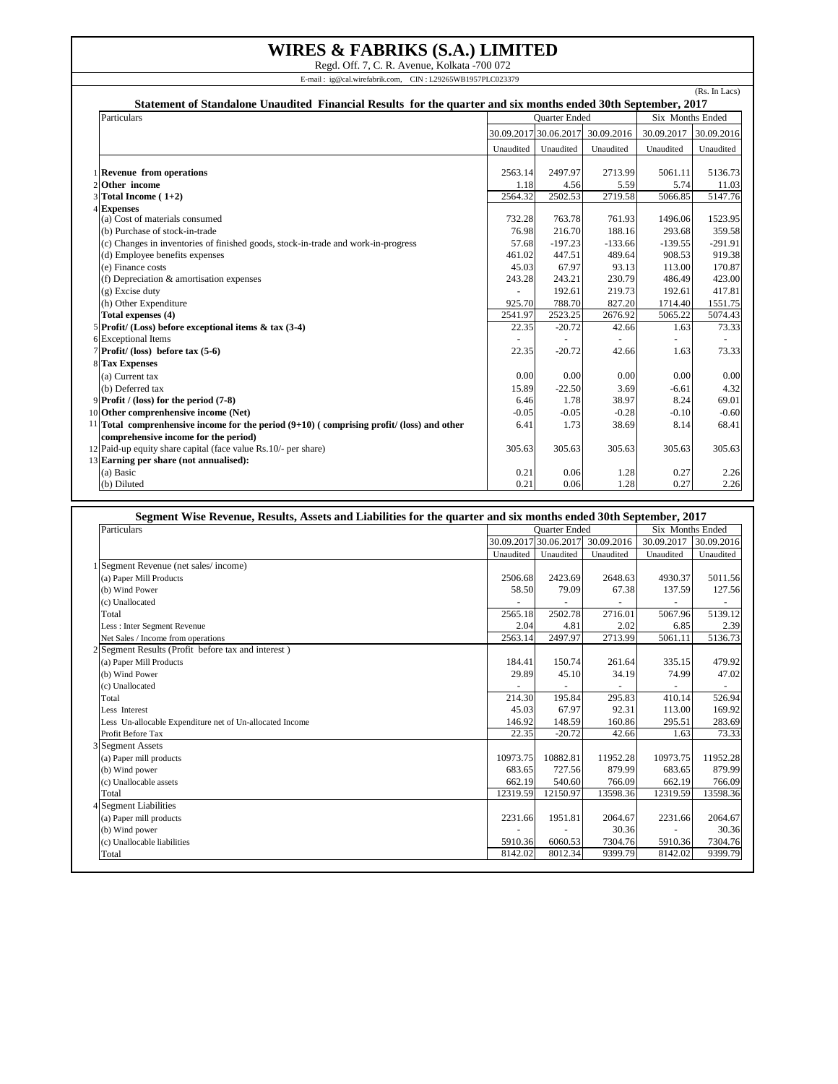## **WIRES & FABRIKS (S.A.) LIMITED**

Regd. Off. 7, C. R. Avenue, Kolkata -700 072 E-mail : ig@cal.wirefabrik.com, CIN : L29265WB1957PLC023379

(Rs. In Lacs) **Statement of Standalone Unaudited Financial Results for the quarter and six months ended 30th September, 2017** Particulars **Contract Contract Contract Contract Contract Contract Contract Contract Contract Contract Contract Contract Contract Contract Contract Contract Contract Contract Contract Contract Contract Contract Contract Co** 30.09.2017 30.06.2017 30.09.2016 30.09.2017 30.09.2016 Unaudited Unaudited Unaudited Unaudited Unaudited 1 **Revenue from operations 1 Revenue from operations 1.18 2563.14 2497.97 2713.99 2703.99 5061.11 5136.73 20ther income 2 0 1.18 4.56 5.59 5.74 1.103** 2 **Other income** 1.18 4.56 5.59 5.74 11.03 3 **Total Income ( 1+2)** 2564.32 2502.53 2719.58 5066.85 5147.76 4 **Expenses** (a) Cost of materials consumed 1523.95 (b) Purchase of stock-in-trade<br>
(c) Changes in inventories of finished goods, stock-in-trade and work-in-progress<br>
291.91 57.68 -197.23 -133.66 -139.55 -291.91  $(c)$  Changes in inventories of finished goods, stock-in-trade and work-in-progress (d) Employee benefits expenses 461.02 447.51 489.64 908.53 919.38 (e) Finance costs 113.00 170.87 (e) 170.87 113.00 170.87 (f) Depreciation & amortisation expenses <br>
(g) Excise duty<br>
(g) Excise duty<br>  $(243.28)$ <br>  $243.21$ <br>  $243.21$ <br>  $243.21$ <br>  $230.79$ <br>  $243.21$ <br>  $219.73$ <br>  $2192.61$ <br>  $219.73$ <br>  $192.61$ (g) Excise duty 192.61 192.61 192.61 192.61 192.61 192.61 192.61 192.61 192.61 192.61 192.61 192.61 192.61 192 (h) Other Expenditure 1551.75<br> **Total expenses (4)** 1551.75<br> **Total expenses (4)** 2541.97 2523.25 2676.92 5065.22 5074.43 **Total expenses (4)** 5 **Profit/ (Loss) before exceptional items & tax (3-4)** 22.35 -20.72 42.66 1.63 73.33 Exceptional Items 7 **Profit/ (loss) before tax (5-6)** 22.35 -20.72 42.66 1.63 73.33 8 **Tax Expenses** (a) Current tax  $\begin{bmatrix} 0.00 & 0.00 & 0.00 \\ 0.00 & 0.00 & 0.00 \\ 0.00 & 0.00 & 0.00 \\ 0.00 & 0.00 & 0.00 \\ 0.00 & 0.00 & 0.00 \\ 0.00 & 0.00 & 0.00 \\ 0.00 & 0.00 & 0.00 \\ 0.00 & 0.00 & 0.00 \\ 0.00 & 0.00 & 0.00 \\ 0.00 & 0.00 & 0.00 \\ 0.00 & 0.00 & 0.00 \\$ (b) Deferred tax  $15.89 \t\t 15.89 \t\t 3.69 \t\t -6.61 \t\t 4.32$ 9 **Profit / (loss) for the period (7-8)** 6.46 1.78 38.97 8.24 69.01 10 Other comprenhensive income (Net) 11 **Total comprenhensive income for the period (9+10) ( comprising profit/ (loss) and other comprehensive income for the period)** 6.41 1.73 38.69 8.14 68.41 12 Paid-up equity share capital (face value Rs.10/- per share) 305.63 305.63 305.63 305.63 305.63 305.63 305.63 13 **Earning per share (not annualised):** (a) Basic  $\begin{array}{|c|c|c|c|c|c|c|c|c|} \hline \end{array}$  0.21 0.06 1.28 0.27 2.26 (b) Diluted 2.26 0.27 0.21 0.21 0.26 1.28 0.27 2.26

| Segment Wise Revenue, Results, Assets and Liabilities for the quarter and six months ended 30th September, 2017 |                      |            |                |                  |            |  |  |
|-----------------------------------------------------------------------------------------------------------------|----------------------|------------|----------------|------------------|------------|--|--|
| Particulars                                                                                                     | <b>Ouarter Ended</b> |            |                | Six Months Ended |            |  |  |
|                                                                                                                 | 30.09.2017           | 30.06.2017 | 30.09.2016     | 30.09.2017       | 30.09.2016 |  |  |
|                                                                                                                 | Unaudited            | Unaudited  | Unaudited      | Unaudited        | Unaudited  |  |  |
| 1 Segment Revenue (net sales/income)                                                                            |                      |            |                |                  |            |  |  |
| (a) Paper Mill Products                                                                                         | 2506.68              | 2423.69    | 2648.63        | 4930.37          | 5011.56    |  |  |
| (b) Wind Power                                                                                                  | 58.50                | 79.09      | 67.38          | 137.59           | 127.56     |  |  |
| (c) Unallocated                                                                                                 |                      |            | $\overline{a}$ |                  |            |  |  |
| Total                                                                                                           | 2565.18              | 2502.78    | 2716.01        | 5067.96          | 5139.12    |  |  |
| Less : Inter Segment Revenue                                                                                    | 2.04                 | 4.81       | 2.02           | 6.85             | 2.39       |  |  |
| Net Sales / Income from operations                                                                              | 2563.14              | 2497.97    | 2713.99        | 5061.11          | 5136.73    |  |  |
| 2 Segment Results (Profit before tax and interest)                                                              |                      |            |                |                  |            |  |  |
| (a) Paper Mill Products                                                                                         | 184.41               | 150.74     | 261.64         | 335.15           | 479.92     |  |  |
| (b) Wind Power                                                                                                  | 29.89                | 45.10      | 34.19          | 74.99            | 47.02      |  |  |
| (c) Unallocated                                                                                                 |                      |            |                |                  | ٠          |  |  |
| Total                                                                                                           | 214.30               | 195.84     | 295.83         | 410.14           | 526.94     |  |  |
| Less Interest                                                                                                   | 45.03                | 67.97      | 92.31          | 113.00           | 169.92     |  |  |
| Less Un-allocable Expenditure net of Un-allocated Income                                                        | 146.92               | 148.59     | 160.86         | 295.51           | 283.69     |  |  |
| Profit Before Tax                                                                                               | 22.35                | $-20.72$   | 42.66          | 1.63             | 73.33      |  |  |
| 3 Segment Assets                                                                                                |                      |            |                |                  |            |  |  |
| (a) Paper mill products                                                                                         | 10973.75             | 10882.81   | 11952.28       | 10973.75         | 11952.28   |  |  |
| (b) Wind power                                                                                                  | 683.65               | 727.56     | 879.99         | 683.65           | 879.99     |  |  |
| (c) Unallocable assets                                                                                          | 662.19               | 540.60     | 766.09         | 662.19           | 766.09     |  |  |
| Total                                                                                                           | 12319.59             | 12150.97   | 13598.36       | 12319.59         | 13598.36   |  |  |
| 4 Segment Liabilities                                                                                           |                      |            |                |                  |            |  |  |
| (a) Paper mill products                                                                                         | 2231.66              | 1951.81    | 2064.67        | 2231.66          | 2064.67    |  |  |
| (b) Wind power                                                                                                  |                      |            | 30.36          |                  | 30.36      |  |  |
| (c) Unallocable liabilities                                                                                     | 5910.36              | 6060.53    | 7304.76        | 5910.36          | 7304.76    |  |  |
| Total                                                                                                           | 8142.02              | 8012.34    | 9399.79        | 8142.02          | 9399.79    |  |  |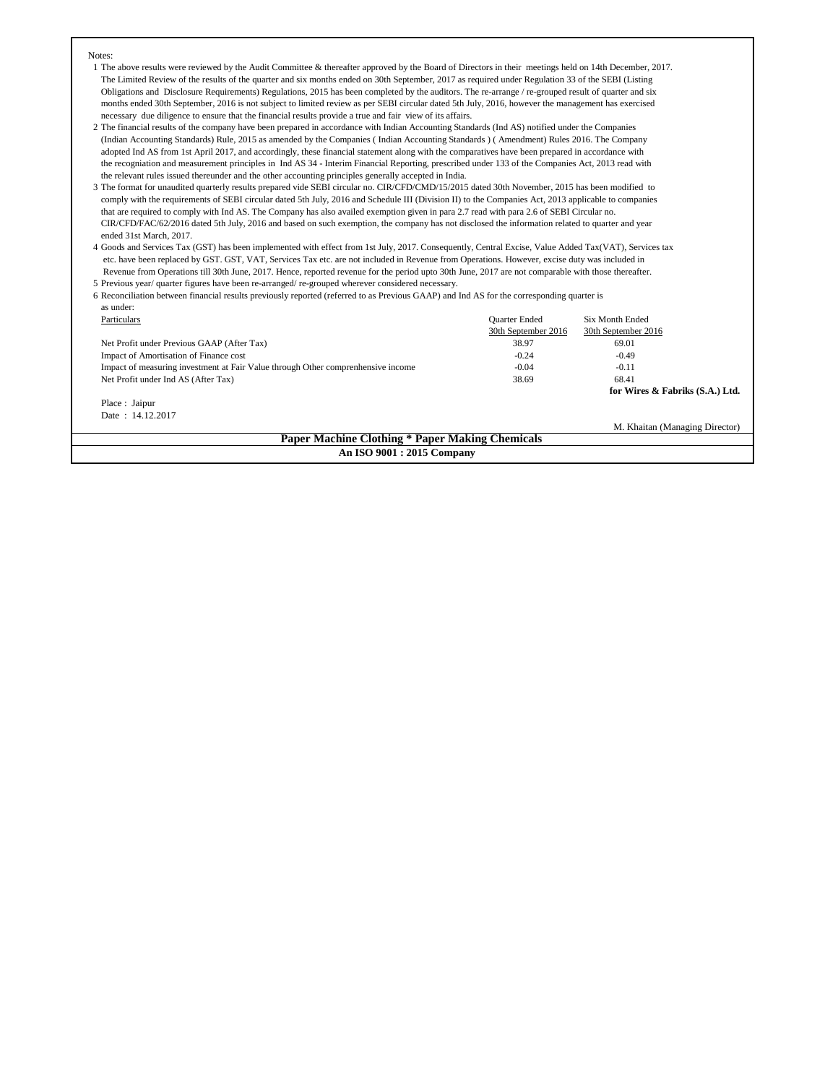## Notes:

- 1 The above results were reviewed by the Audit Committee & thereafter approved by the Board of Directors in their meetings held on 14th December, 2017. The Limited Review of the results of the quarter and six months ended on 30th September, 2017 as required under Regulation 33 of the SEBI (Listing Obligations and Disclosure Requirements) Regulations, 2015 has been completed by the auditors. The re-arrange / re-grouped result of quarter and six months ended 30th September, 2016 is not subject to limited review as per SEBI circular dated 5th July, 2016, however the management has exercised necessary due diligence to ensure that the financial results provide a true and fair view of its affairs.
- 2 The financial results of the company have been prepared in accordance with Indian Accounting Standards (Ind AS) notified under the Companies (Indian Accounting Standards) Rule, 2015 as amended by the Companies ( Indian Accounting Standards ) ( Amendment) Rules 2016. The Company adopted Ind AS from 1st April 2017, and accordingly, these financial statement along with the comparatives have been prepared in accordance with the recogniation and measurement principles in Ind AS 34 - Interim Financial Reporting, prescribed under 133 of the Companies Act, 2013 read with the relevant rules issued thereunder and the other accounting principles generally accepted in India.
- 3 The format for unaudited quarterly results prepared vide SEBI circular no. CIR/CFD/CMD/15/2015 dated 30th November, 2015 has been modified to comply with the requirements of SEBI circular dated 5th July, 2016 and Schedule III (Division II) to the Companies Act, 2013 applicable to companies that are required to comply with Ind AS. The Company has also availed exemption given in para 2.7 read with para 2.6 of SEBI Circular no. CIR/CFD/FAC/62/2016 dated 5th July, 2016 and based on such exemption, the company has not disclosed the information related to quarter and year ended 31st March, 2017.
- 4 Goods and Services Tax (GST) has been implemented with effect from 1st July, 2017. Consequently, Central Excise, Value Added Tax(VAT), Services tax etc. have been replaced by GST. GST, VAT, Services Tax etc. are not included in Revenue from Operations. However, excise duty was included in Revenue from Operations till 30th June, 2017. Hence, reported revenue for the period upto 30th June, 2017 are not comparable with those thereafter. 5 Previous year/ quarter figures have been re-arranged/ re-grouped wherever considered necessary.
- 6 Reconciliation between financial results previously reported (referred to as Previous GAAP) and Ind AS for the corresponding quarter is as under:

| Particulars                                                                      | <b>Quarter Ended</b> | Six Month Ended                 |  |  |  |
|----------------------------------------------------------------------------------|----------------------|---------------------------------|--|--|--|
|                                                                                  | 30th September 2016  | 30th September 2016             |  |  |  |
| Net Profit under Previous GAAP (After Tax)                                       | 38.97                | 69.01                           |  |  |  |
| Impact of Amortisation of Finance cost                                           | $-0.24$              | $-0.49$                         |  |  |  |
| Impact of measuring investment at Fair Value through Other comprenhensive income | $-0.04$              | $-0.11$                         |  |  |  |
| Net Profit under Ind AS (After Tax)                                              | 38.69                | 68.41                           |  |  |  |
|                                                                                  |                      | for Wires & Fabriks (S.A.) Ltd. |  |  |  |
| Place : Jaipur                                                                   |                      |                                 |  |  |  |
| Date: 14.12.2017                                                                 |                      |                                 |  |  |  |
|                                                                                  |                      | M. Khaitan (Managing Director)  |  |  |  |
| <b>Paper Machine Clothing * Paper Making Chemicals</b>                           |                      |                                 |  |  |  |

**An ISO 9001 : 2015 Company**